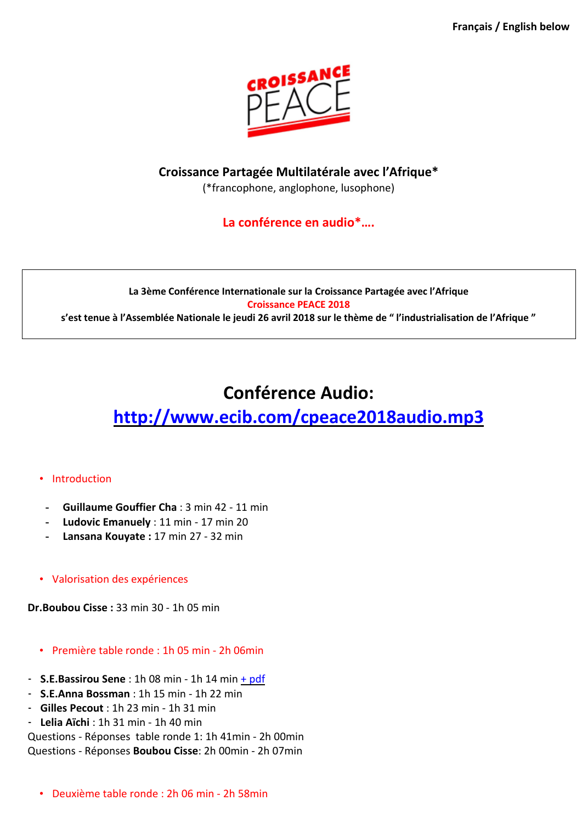

### **Croissance Partagée Multilatérale avec l'Afrique\***

(\*francophone, anglophone, lusophone)

### **La conférence en audio\*….**

### **La 3ème Conférence Internationale sur la Croissance Partagée avec l'Afrique Croissance PEACE 2018 s'est tenue à l'Assemblée Nationale le jeudi 26 avril 2018 sur le thème de " l'industrialisation de l'Afrique "**

## **Conférence Audio:**

# **<http://www.ecib.com/cpeace2018audio.mp3>**

### • Introduction

- **- Guillaume Gouffier Cha** : 3 min 42 11 min
- **- Ludovic Emanuely** : 11 min 17 min 20
- **- Lansana Kouyate :** 17 min 27 32 min
- Valorisation des expériences

**Dr.Boubou Cisse :** 33 min 30 - 1h 05 min

- Première table ronde : 1h 05 min 2h 06min
- **S.E.Bassirou Sene** : 1h 08 min 1h 14 min + [pdf](http://ludovic.indaba-china.com/Sene.pdf)
- **S.E.Anna Bossman** : 1h 15 min 1h 22 min
- **Gilles Pecout** : 1h 23 min 1h 31 min
- **Lelia Aïchi** : 1h 31 min 1h 40 min

Questions - Réponses table ronde 1: 1h 41min - 2h 00min Questions - Réponses **Boubou Cisse**: 2h 00min - 2h 07min

• Deuxième table ronde : 2h 06 min - 2h 58min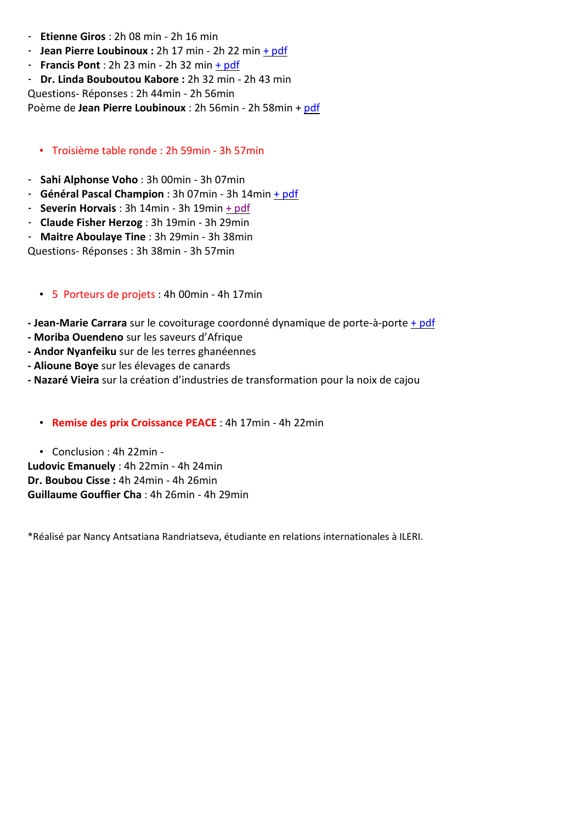- **Etienne Giros** : 2h 08 min 2h 16 min
- **Jean Pierre Loubinoux :** 2h 17 min 2h 22 min + [pdf](http://ludovic.indaba-china.com/loubinoux.pdf)
- **Francis Pont** : 2h 23 min 2h 32 min + [pdf](http://ludovic.indaba-china.com/Pont.pdf)
- **Dr. Linda Bouboutou Kabore :** 2h 32 min 2h 43 min

Questions- Réponses : 2h 44min - 2h 56min

Poème de **Jean Pierre Loubinoux** : 2h 56min - 2h 58min + [pdf](http://ludovic.indaba-china.com/loubinoux1.pdf)

### • Troisième table ronde : 2h 59min - 3h 57min

- **Sahi Alphonse Voho** : 3h 00min 3h 07min
- **Général Pascal Champion** : 3h 07min 3h 14min + [pdf](http://ludovic.indaba-china.com/Champion.pdf)
- **Severin Horvais** : 3h 14min 3h 19min + [pdf](http://ludovic.indaba-china.com/Horvais.pdf)
- **Claude Fisher Herzog** : 3h 19min 3h 29min
- **Maitre Aboulaye Tine** : 3h 29min 3h 38min

Questions- Réponses : 3h 38min - 3h 57min

### • 5 Porteurs de projets : 4h 00min - 4h 17min

- **- Jean-Marie Carrara** sur le covoiturage coordonné dynamique de porte-à-porte + [pdf](http://ludovic.indaba-china.com/Carrara.pdf)
- **- Moriba Ouendeno** sur les saveurs d'Afrique
- **- Andor Nyanfeiku** sur de les terres ghanéennes
- **- Alioune Boye** sur les élevages de canards
- **- Nazaré Vieira** sur la création d'industries de transformation pour la noix de cajou
	- **Remise des prix Croissance PEACE** : 4h 17min 4h 22min

• Conclusion : 4h 22min - **Ludovic Emanuely** : 4h 22min - 4h 24min **Dr. Boubou Cisse :** 4h 24min - 4h 26min **Guillaume Gouffier Cha** : 4h 26min - 4h 29min

\*Réalisé par Nancy Antsatiana Randriatseva, étudiante en relations internationales à ILERI.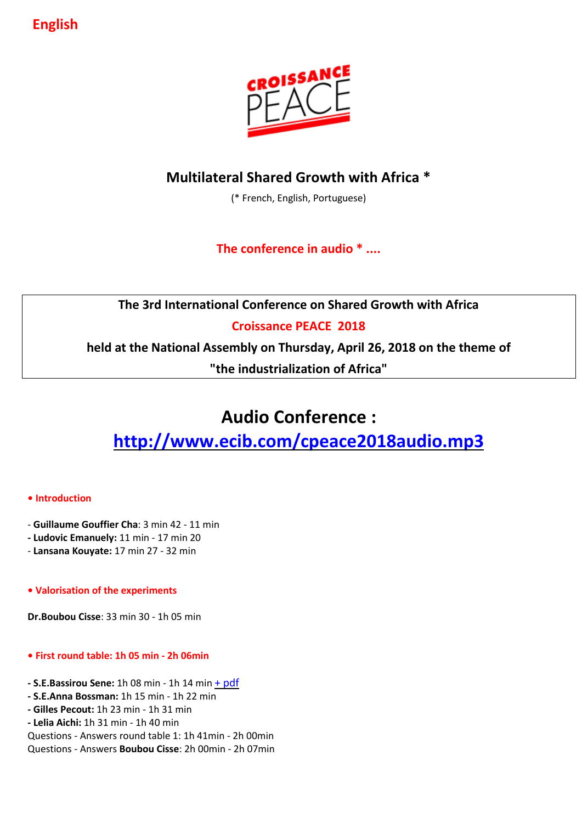**English** 



## **Multilateral Shared Growth with Africa \***

(\* French, English, Portuguese)

## **The conference in audio \* ....**

**The 3rd International Conference on Shared Growth with Africa**

### **Croissance PEACE 2018**

**held at the National Assembly on Thursday, April 26, 2018 on the theme of**

**"the industrialization of Africa"**

# **Audio Conference :**

## **<http://www.ecib.com/cpeace2018audio.mp3>**

### **• Introduction**

- **Guillaume Gouffier Cha**: 3 min 42 11 min
- **- Ludovic Emanuely:** 11 min 17 min 20
- **Lansana Kouyate:** 17 min 27 32 min

### **• Valorisation of the experiments**

**Dr.Boubou Cisse**: 33 min 30 - 1h 05 min

### **• First round table: 1h 05 min - 2h 06min**

- **- S.E.Bassirou Sene:** 1h 08 min 1h 14 min + [pdf](http://ludovic.indaba-china.com/Sene.pdf)
- **- S.E.Anna Bossman:** 1h 15 min 1h 22 min
- **- Gilles Pecout:** 1h 23 min 1h 31 min
- **- Lelia Aichi:** 1h 31 min 1h 40 min

Questions - Answers round table 1: 1h 41min - 2h 00min Questions - Answers **Boubou Cisse**: 2h 00min - 2h 07min